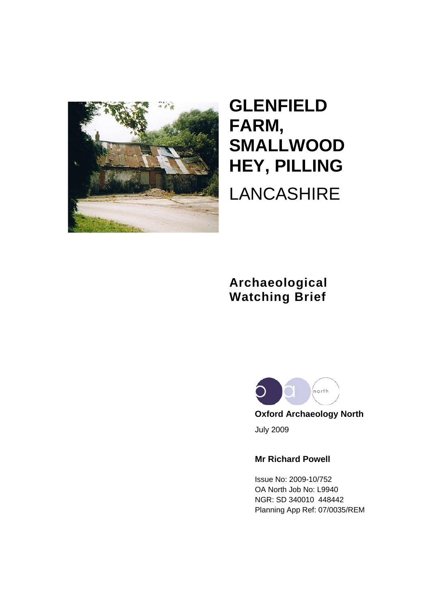

# **GLENFIELD FARM, SMALLWOOD HEY, PILLING** LANCASHIRE

# **Archaeological Watching Brief**



 **Oxford Archaeology North** July 2009

### **Mr Richard Powell**

Issue No: 2009-10/752 OA North Job No: L9940 NGR: SD 340010 448442 Planning App Ref: 07/0035/REM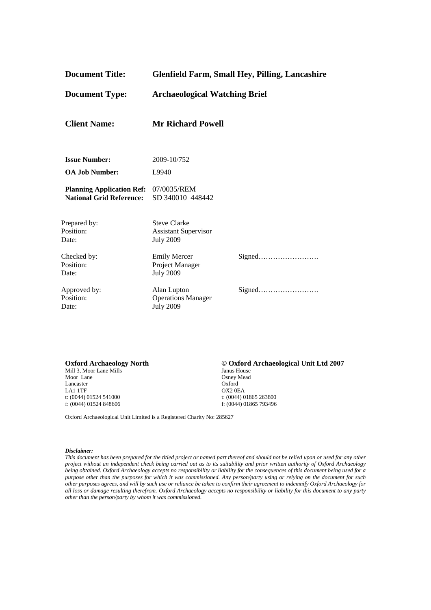| <b>Document Title:</b>                                              | <b>Glenfield Farm, Small Hey, Pilling, Lancashire</b>                  |        |
|---------------------------------------------------------------------|------------------------------------------------------------------------|--------|
| <b>Document Type:</b>                                               | <b>Archaeological Watching Brief</b>                                   |        |
| <b>Client Name:</b>                                                 | <b>Mr Richard Powell</b>                                               |        |
| <b>Issue Number:</b>                                                | 2009-10/752                                                            |        |
| <b>OA Job Number:</b>                                               | L9940                                                                  |        |
| <b>Planning Application Ref:</b><br><b>National Grid Reference:</b> | 07/0035/REM<br>SD 340010 448442                                        |        |
| Prepared by:<br>Position:<br>Date:                                  | <b>Steve Clarke</b><br><b>Assistant Supervisor</b><br><b>July 2009</b> |        |
| Checked by:<br>Position:<br>Date:                                   | <b>Emily Mercer</b><br>Project Manager<br><b>July 2009</b>             | Signed |
| Approved by:<br>Position:<br>Date:                                  | Alan Lupton<br><b>Operations Manager</b><br><b>July 2009</b>           | Signed |

**Oxford Archaeology North**  $\bullet$  **© Oxford Archaeological Unit Ltd 2007** Mill 3, Moor Lane Mills Mill 3, Moor Lane Mills<br>Moor Lane Lancaster<br>LA1 1TF LA1 1TF OX2 0EA<br>t: (0044) 01524 541000 t: (0044) 0 f: (0044) 01524 848606

Osney Mead<br>Oxford t: (0044) 01865 263800<br>f: (0044) 01865 793496

Oxford Archaeological Unit Limited is a Registered Charity No: 285627

#### *Disclaimer:*

*This document has been prepared for the titled project or named part thereof and should not be relied upon or used for any other project without an independent check being carried out as to its suitability and prior written authority of Oxford Archaeology being obtained. Oxford Archaeology accepts no responsibility or liability for the consequences of this document being used for a purpose other than the purposes for which it was commissioned. Any person/party using or relying on the document for such other purposes agrees, and will by such use or reliance be taken to confirm their agreement to indemnify Oxford Archaeology for all loss or damage resulting therefrom. Oxford Archaeology accepts no responsibility or liability for this document to any party other than the person/party by whom it was commissioned.*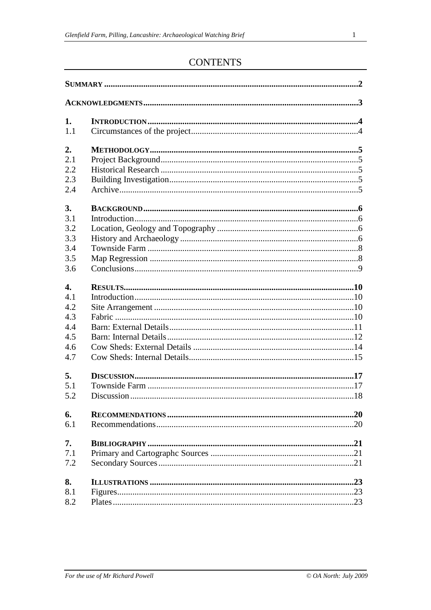# **CONTENTS**

| 1.               |  |  |  |
|------------------|--|--|--|
| 1.1              |  |  |  |
| 2.               |  |  |  |
| 2.1              |  |  |  |
| 2.2              |  |  |  |
| 2.3              |  |  |  |
| 2.4              |  |  |  |
| 3.               |  |  |  |
| 3.1              |  |  |  |
| 3.2              |  |  |  |
| 3.3              |  |  |  |
| 3.4              |  |  |  |
| 3.5              |  |  |  |
| 3.6              |  |  |  |
|                  |  |  |  |
| $\overline{4}$ . |  |  |  |
| 4.1              |  |  |  |
| 4.2              |  |  |  |
| 4.3              |  |  |  |
| 4.4              |  |  |  |
| 4.5              |  |  |  |
| 4.6              |  |  |  |
| 4.7              |  |  |  |
| 5.               |  |  |  |
| 5.1              |  |  |  |
| 5.2              |  |  |  |
| 6.               |  |  |  |
| 6.1              |  |  |  |
| 7.               |  |  |  |
| 7.1              |  |  |  |
| 7.2              |  |  |  |
| 8.               |  |  |  |
| 8.1              |  |  |  |
| 8.2              |  |  |  |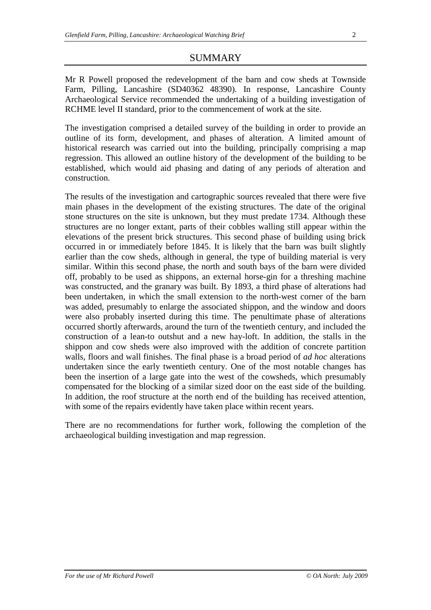#### SUMMARY

Mr R Powell proposed the redevelopment of the barn and cow sheds at Townside Farm, Pilling, Lancashire (SD40362 48390). In response, Lancashire County Archaeological Service recommended the undertaking of a building investigation of RCHME level II standard, prior to the commencement of work at the site.

The investigation comprised a detailed survey of the building in order to provide an outline of its form, development, and phases of alteration. A limited amount of historical research was carried out into the building, principally comprising a map regression. This allowed an outline history of the development of the building to be established, which would aid phasing and dating of any periods of alteration and construction.

The results of the investigation and cartographic sources revealed that there were five main phases in the development of the existing structures. The date of the original stone structures on the site is unknown, but they must predate 1734. Although these structures are no longer extant, parts of their cobbles walling still appear within the elevations of the present brick structures. This second phase of building using brick occurred in or immediately before 1845. It is likely that the barn was built slightly earlier than the cow sheds, although in general, the type of building material is very similar. Within this second phase, the north and south bays of the barn were divided off, probably to be used as shippons, an external horse-gin for a threshing machine was constructed, and the granary was built. By 1893, a third phase of alterations had been undertaken, in which the small extension to the north-west corner of the barn was added, presumably to enlarge the associated shippon, and the window and doors were also probably inserted during this time. The penultimate phase of alterations occurred shortly afterwards, around the turn of the twentieth century, and included the construction of a lean-to outshut and a new hay-loft. In addition, the stalls in the shippon and cow sheds were also improved with the addition of concrete partition walls, floors and wall finishes. The final phase is a broad period of *ad hoc* alterations undertaken since the early twentieth century. One of the most notable changes has been the insertion of a large gate into the west of the cowsheds, which presumably compensated for the blocking of a similar sized door on the east side of the building. In addition, the roof structure at the north end of the building has received attention, with some of the repairs evidently have taken place within recent years.

There are no recommendations for further work, following the completion of the archaeological building investigation and map regression.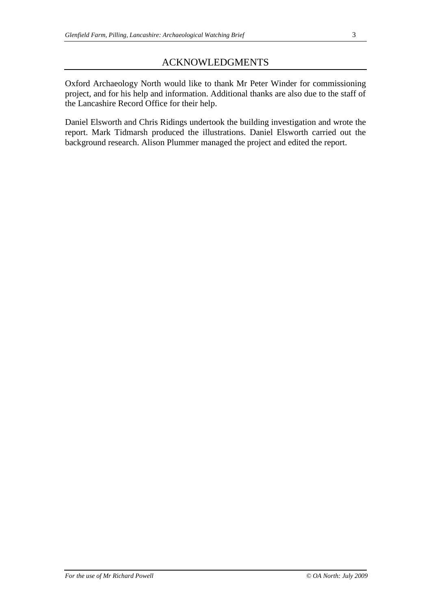# ACKNOWLEDGMENTS

Oxford Archaeology North would like to thank Mr Peter Winder for commissioning project, and for his help and information. Additional thanks are also due to the staff of the Lancashire Record Office for their help.

Daniel Elsworth and Chris Ridings undertook the building investigation and wrote the report. Mark Tidmarsh produced the illustrations. Daniel Elsworth carried out the background research. Alison Plummer managed the project and edited the report.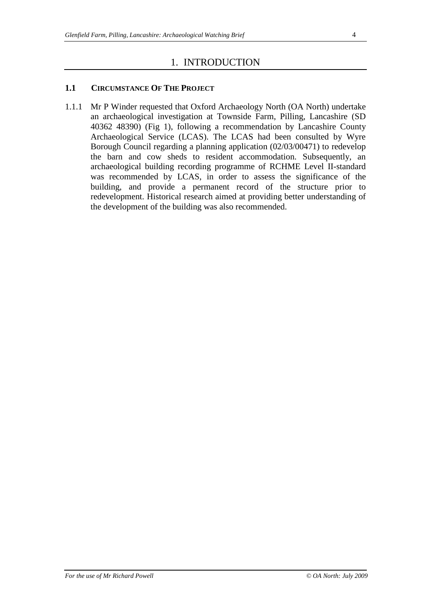# 1. INTRODUCTION

#### **1.1 CIRCUMSTANCE OF THE PROJECT**

1.1.1 Mr P Winder requested that Oxford Archaeology North (OA North) undertake an archaeological investigation at Townside Farm, Pilling, Lancashire (SD 40362 48390) (Fig 1), following a recommendation by Lancashire County Archaeological Service (LCAS). The LCAS had been consulted by Wyre Borough Council regarding a planning application (02/03/00471) to redevelop the barn and cow sheds to resident accommodation. Subsequently, an archaeological building recording programme of RCHME Level II-standard was recommended by LCAS, in order to assess the significance of the building, and provide a permanent record of the structure prior to redevelopment. Historical research aimed at providing better understanding of the development of the building was also recommended.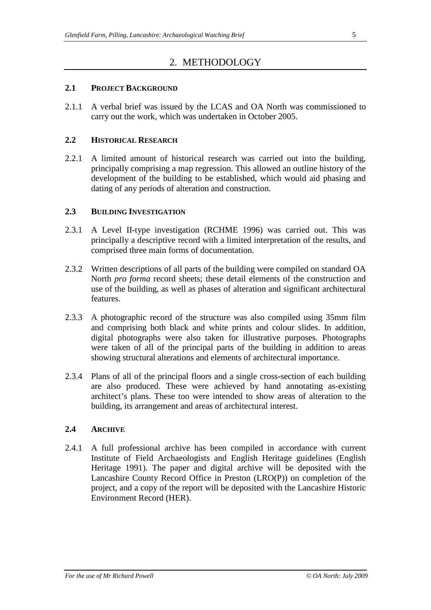# 2. METHODOLOGY

#### **2.1 PROJECT BACKGROUND**

2.1.1 A verbal brief was issued by the LCAS and OA North was commissioned to carry out the work, which was undertaken in October 2005.

#### **2.2 HISTORICAL RESEARCH**

2.2.1 A limited amount of historical research was carried out into the building, principally comprising a map regression. This allowed an outline history of the development of the building to be established, which would aid phasing and dating of any periods of alteration and construction.

#### **2.3 BUILDING INVESTIGATION**

- 2.3.1 A Level II-type investigation (RCHME 1996) was carried out. This was principally a descriptive record with a limited interpretation of the results, and comprised three main forms of documentation.
- 2.3.2 Written descriptions of all parts of the building were compiled on standard OA North *pro forma* record sheets; these detail elements of the construction and use of the building, as well as phases of alteration and significant architectural features.
- 2.3.3 A photographic record of the structure was also compiled using 35mm film and comprising both black and white prints and colour slides. In addition, digital photographs were also taken for illustrative purposes. Photographs were taken of all of the principal parts of the building in addition to areas showing structural alterations and elements of architectural importance.
- 2.3.4 Plans of all of the principal floors and a single cross-section of each building are also produced. These were achieved by hand annotating as-existing architect's plans. These too were intended to show areas of alteration to the building, its arrangement and areas of architectural interest.

#### **2.4 ARCHIVE**

2.4.1 A full professional archive has been compiled in accordance with current Institute of Field Archaeologists and English Heritage guidelines (English Heritage 1991). The paper and digital archive will be deposited with the Lancashire County Record Office in Preston (LRO(P)) on completion of the project, and a copy of the report will be deposited with the Lancashire Historic Environment Record (HER).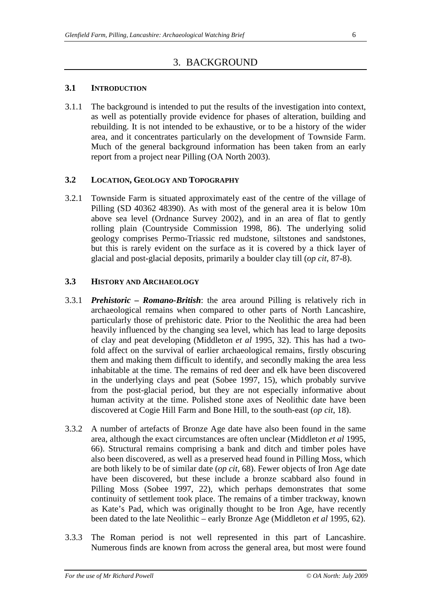# 3. BACKGROUND

#### **3.1 INTRODUCTION**

3.1.1 The background is intended to put the results of the investigation into context, as well as potentially provide evidence for phases of alteration, building and rebuilding. It is not intended to be exhaustive, or to be a history of the wider area, and it concentrates particularly on the development of Townside Farm. Much of the general background information has been taken from an early report from a project near Pilling (OA North 2003).

#### **3.2 LOCATION, GEOLOGY AND TOPOGRAPHY**

3.2.1 Townside Farm is situated approximately east of the centre of the village of Pilling (SD 40362 48390). As with most of the general area it is below 10m above sea level (Ordnance Survey 2002), and in an area of flat to gently rolling plain (Countryside Commission 1998, 86). The underlying solid geology comprises Permo-Triassic red mudstone, siltstones and sandstones, but this is rarely evident on the surface as it is covered by a thick layer of glacial and post-glacial deposits, primarily a boulder clay till (*op cit*, 87-8).

#### **3.3 HISTORY AND ARCHAEOLOGY**

- 3.3.1 *Prehistoric – Romano-British*: the area around Pilling is relatively rich in archaeological remains when compared to other parts of North Lancashire, particularly those of prehistoric date. Prior to the Neolithic the area had been heavily influenced by the changing sea level, which has lead to large deposits of clay and peat developing (Middleton *et al* 1995, 32). This has had a twofold affect on the survival of earlier archaeological remains, firstly obscuring them and making them difficult to identify, and secondly making the area less inhabitable at the time. The remains of red deer and elk have been discovered in the underlying clays and peat (Sobee 1997, 15), which probably survive from the post-glacial period, but they are not especially informative about human activity at the time. Polished stone axes of Neolithic date have been discovered at Cogie Hill Farm and Bone Hill, to the south-east (*op cit*, 18).
- 3.3.2 A number of artefacts of Bronze Age date have also been found in the same area, although the exact circumstances are often unclear (Middleton *et al* 1995, 66). Structural remains comprising a bank and ditch and timber poles have also been discovered, as well as a preserved head found in Pilling Moss, which are both likely to be of similar date (*op cit*, 68). Fewer objects of Iron Age date have been discovered, but these include a bronze scabbard also found in Pilling Moss (Sobee 1997, 22), which perhaps demonstrates that some continuity of settlement took place. The remains of a timber trackway, known as Kate's Pad, which was originally thought to be Iron Age, have recently been dated to the late Neolithic – early Bronze Age (Middleton *et al* 1995, 62).
- 3.3.3 The Roman period is not well represented in this part of Lancashire. Numerous finds are known from across the general area, but most were found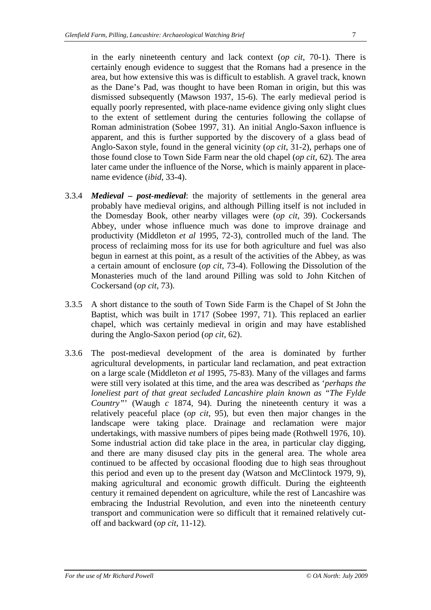in the early nineteenth century and lack context (*op cit*, 70-1). There is certainly enough evidence to suggest that the Romans had a presence in the area, but how extensive this was is difficult to establish. A gravel track, known as the Dane's Pad, was thought to have been Roman in origin, but this was dismissed subsequently (Mawson 1937, 15-6). The early medieval period is equally poorly represented, with place-name evidence giving only slight clues to the extent of settlement during the centuries following the collapse of Roman administration (Sobee 1997, 31). An initial Anglo-Saxon influence is apparent, and this is further supported by the discovery of a glass bead of Anglo-Saxon style, found in the general vicinity (*op cit*, 31-2), perhaps one of those found close to Town Side Farm near the old chapel (*op cit*, 62). The area later came under the influence of the Norse, which is mainly apparent in placename evidence (*ibid*, 33-4).

- 3.3.4 *Medieval – post-medieval*: the majority of settlements in the general area probably have medieval origins, and although Pilling itself is not included in the Domesday Book, other nearby villages were (*op cit*, 39). Cockersands Abbey, under whose influence much was done to improve drainage and productivity (Middleton *et al* 1995, 72-3), controlled much of the land. The process of reclaiming moss for its use for both agriculture and fuel was also begun in earnest at this point, as a result of the activities of the Abbey, as was a certain amount of enclosure (*op cit*, 73-4). Following the Dissolution of the Monasteries much of the land around Pilling was sold to John Kitchen of Cockersand (*op cit*, 73).
- 3.3.5 A short distance to the south of Town Side Farm is the Chapel of St John the Baptist, which was built in 1717 (Sobee 1997, 71). This replaced an earlier chapel, which was certainly medieval in origin and may have established during the Anglo-Saxon period (*op cit*, 62).
- 3.3.6 The post-medieval development of the area is dominated by further agricultural developments, in particular land reclamation, and peat extraction on a large scale (Middleton *et al* 1995, 75-83). Many of the villages and farms were still very isolated at this time, and the area was described as '*perhaps the loneliest part of that great secluded Lancashire plain known as "The Fylde Country"*' (Waugh *c* 1874, 94). During the nineteenth century it was a relatively peaceful place (*op cit*, 95), but even then major changes in the landscape were taking place. Drainage and reclamation were major undertakings, with massive numbers of pipes being made (Rothwell 1976, 10). Some industrial action did take place in the area, in particular clay digging, and there are many disused clay pits in the general area. The whole area continued to be affected by occasional flooding due to high seas throughout this period and even up to the present day (Watson and McClintock 1979, 9), making agricultural and economic growth difficult. During the eighteenth century it remained dependent on agriculture, while the rest of Lancashire was embracing the Industrial Revolution, and even into the nineteenth century transport and communication were so difficult that it remained relatively cutoff and backward (*op cit*, 11-12).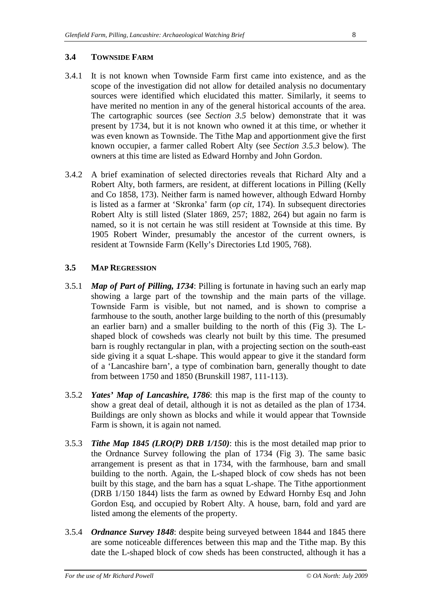#### **3.4 TOWNSIDE FARM**

- 3.4.1 It is not known when Townside Farm first came into existence, and as the scope of the investigation did not allow for detailed analysis no documentary sources were identified which elucidated this matter. Similarly, it seems to have merited no mention in any of the general historical accounts of the area. The cartographic sources (see *Section 3.5* below) demonstrate that it was present by 1734, but it is not known who owned it at this time, or whether it was even known as Townside. The Tithe Map and apportionment give the first known occupier, a farmer called Robert Alty (see *Section 3.5.3* below). The owners at this time are listed as Edward Hornby and John Gordon.
- 3.4.2 A brief examination of selected directories reveals that Richard Alty and a Robert Alty, both farmers, are resident, at different locations in Pilling (Kelly and Co 1858, 173). Neither farm is named however, although Edward Hornby is listed as a farmer at 'Skronka' farm (*op cit*, 174). In subsequent directories Robert Alty is still listed (Slater 1869, 257; 1882, 264) but again no farm is named, so it is not certain he was still resident at Townside at this time. By 1905 Robert Winder, presumably the ancestor of the current owners, is resident at Townside Farm (Kelly's Directories Ltd 1905, 768).

#### **3.5 MAP REGRESSION**

- 3.5.1 *Map of Part of Pilling, 1734*: Pilling is fortunate in having such an early map showing a large part of the township and the main parts of the village. Townside Farm is visible, but not named, and is shown to comprise a farmhouse to the south, another large building to the north of this (presumably an earlier barn) and a smaller building to the north of this (Fig 3). The Lshaped block of cowsheds was clearly not built by this time. The presumed barn is roughly rectangular in plan, with a projecting section on the south-east side giving it a squat L-shape. This would appear to give it the standard form of a 'Lancashire barn', a type of combination barn, generally thought to date from between 1750 and 1850 (Brunskill 1987, 111-113).
- 3.5.2 *Yates' Map of Lancashire, 1786*: this map is the first map of the county to show a great deal of detail, although it is not as detailed as the plan of 1734. Buildings are only shown as blocks and while it would appear that Townside Farm is shown, it is again not named.
- 3.5.3 *Tithe Map 1845 (LRO(P) DRB 1/150)*: this is the most detailed map prior to the Ordnance Survey following the plan of 1734 (Fig 3). The same basic arrangement is present as that in 1734, with the farmhouse, barn and small building to the north. Again, the L-shaped block of cow sheds has not been built by this stage, and the barn has a squat L-shape. The Tithe apportionment (DRB 1/150 1844) lists the farm as owned by Edward Hornby Esq and John Gordon Esq, and occupied by Robert Alty. A house, barn, fold and yard are listed among the elements of the property.
- 3.5.4 *Ordnance Survey 1848*: despite being surveyed between 1844 and 1845 there are some noticeable differences between this map and the Tithe map. By this date the L-shaped block of cow sheds has been constructed, although it has a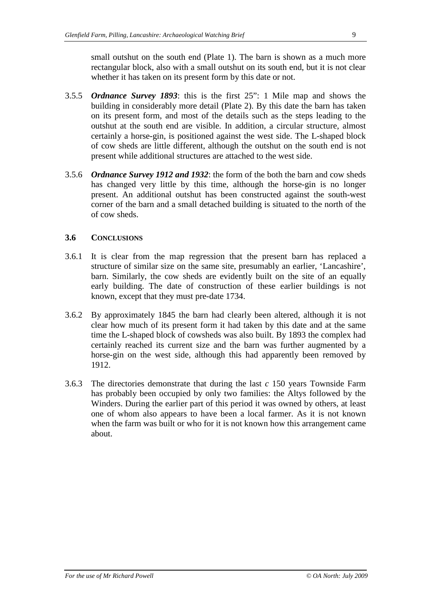small outshut on the south end (Plate 1). The barn is shown as a much more rectangular block, also with a small outshut on its south end, but it is not clear whether it has taken on its present form by this date or not.

- 3.5.5 *Ordnance Survey 1893*: this is the first 25": 1 Mile map and shows the building in considerably more detail (Plate 2). By this date the barn has taken on its present form, and most of the details such as the steps leading to the outshut at the south end are visible. In addition, a circular structure, almost certainly a horse-gin, is positioned against the west side. The L-shaped block of cow sheds are little different, although the outshut on the south end is not present while additional structures are attached to the west side.
- 3.5.6 *Ordnance Survey 1912 and 1932*: the form of the both the barn and cow sheds has changed very little by this time, although the horse-gin is no longer present. An additional outshut has been constructed against the south-west corner of the barn and a small detached building is situated to the north of the of cow sheds.

#### **3.6 CONCLUSIONS**

- 3.6.1 It is clear from the map regression that the present barn has replaced a structure of similar size on the same site, presumably an earlier, 'Lancashire', barn. Similarly, the cow sheds are evidently built on the site of an equally early building. The date of construction of these earlier buildings is not known, except that they must pre-date 1734.
- 3.6.2 By approximately 1845 the barn had clearly been altered, although it is not clear how much of its present form it had taken by this date and at the same time the L-shaped block of cowsheds was also built. By 1893 the complex had certainly reached its current size and the barn was further augmented by a horse-gin on the west side, although this had apparently been removed by 1912.
- 3.6.3 The directories demonstrate that during the last *c* 150 years Townside Farm has probably been occupied by only two families: the Altys followed by the Winders. During the earlier part of this period it was owned by others, at least one of whom also appears to have been a local farmer. As it is not known when the farm was built or who for it is not known how this arrangement came about.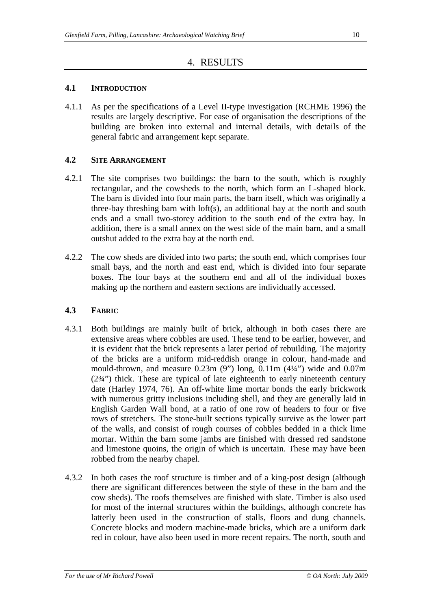## 4. RESULTS

#### **4.1 INTRODUCTION**

4.1.1 As per the specifications of a Level II-type investigation (RCHME 1996) the results are largely descriptive. For ease of organisation the descriptions of the building are broken into external and internal details, with details of the general fabric and arrangement kept separate.

#### **4.2 SITE ARRANGEMENT**

- 4.2.1 The site comprises two buildings: the barn to the south, which is roughly rectangular, and the cowsheds to the north, which form an L-shaped block. The barn is divided into four main parts, the barn itself, which was originally a three-bay threshing barn with loft(s), an additional bay at the north and south ends and a small two-storey addition to the south end of the extra bay. In addition, there is a small annex on the west side of the main barn, and a small outshut added to the extra bay at the north end.
- 4.2.2 The cow sheds are divided into two parts; the south end, which comprises four small bays, and the north and east end, which is divided into four separate boxes. The four bays at the southern end and all of the individual boxes making up the northern and eastern sections are individually accessed.

#### **4.3 FABRIC**

- 4.3.1 Both buildings are mainly built of brick, although in both cases there are extensive areas where cobbles are used. These tend to be earlier, however, and it is evident that the brick represents a later period of rebuilding. The majority of the bricks are a uniform mid-reddish orange in colour, hand-made and mould-thrown, and measure  $0.23m$  (9") long,  $0.11m$  (4¼") wide and  $0.07m$ (2¾") thick. These are typical of late eighteenth to early nineteenth century date (Harley 1974, 76). An off-white lime mortar bonds the early brickwork with numerous gritty inclusions including shell, and they are generally laid in English Garden Wall bond, at a ratio of one row of headers to four or five rows of stretchers. The stone-built sections typically survive as the lower part of the walls, and consist of rough courses of cobbles bedded in a thick lime mortar. Within the barn some jambs are finished with dressed red sandstone and limestone quoins, the origin of which is uncertain. These may have been robbed from the nearby chapel.
- 4.3.2 In both cases the roof structure is timber and of a king-post design (although there are significant differences between the style of these in the barn and the cow sheds). The roofs themselves are finished with slate. Timber is also used for most of the internal structures within the buildings, although concrete has latterly been used in the construction of stalls, floors and dung channels. Concrete blocks and modern machine-made bricks, which are a uniform dark red in colour, have also been used in more recent repairs. The north, south and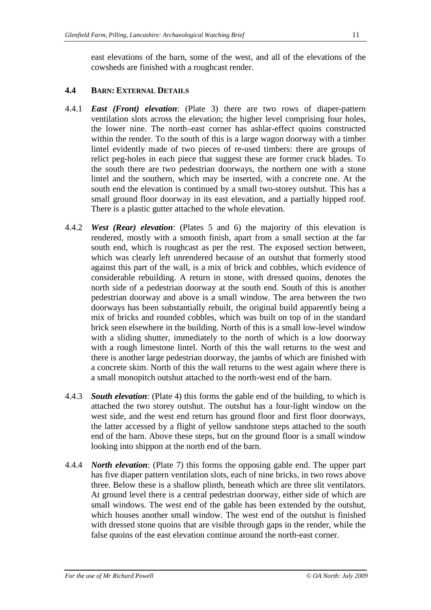east elevations of the barn, some of the west, and all of the elevations of the cowsheds are finished with a roughcast render.

#### **4.4 BARN: EXTERNAL DETAILS**

- 4.4.1 *East (Front) elevation*: (Plate 3) there are two rows of diaper-pattern ventilation slots across the elevation; the higher level comprising four holes, the lower nine. The north–east corner has ashlar-effect quoins constructed within the render. To the south of this is a large wagon doorway with a timber lintel evidently made of two pieces of re-used timbers: there are groups of relict peg-holes in each piece that suggest these are former cruck blades. To the south there are two pedestrian doorways, the northern one with a stone lintel and the southern, which may be inserted, with a concrete one. At the south end the elevation is continued by a small two-storey outshut. This has a small ground floor doorway in its east elevation, and a partially hipped roof. There is a plastic gutter attached to the whole elevation.
- 4.4.2 *West (Rear) elevation*: (Plates 5 and 6) the majority of this elevation is rendered, mostly with a smooth finish, apart from a small section at the far south end, which is roughcast as per the rest. The exposed section between, which was clearly left unrendered because of an outshut that formerly stood against this part of the wall, is a mix of brick and cobbles, which evidence of considerable rebuilding. A return in stone, with dressed quoins, denotes the north side of a pedestrian doorway at the south end. South of this is another pedestrian doorway and above is a small window. The area between the two doorways has been substantially rebuilt, the original build apparently being a mix of bricks and rounded cobbles, which was built on top of in the standard brick seen elsewhere in the building. North of this is a small low-level window with a sliding shutter, immediately to the north of which is a low doorway with a rough limestone lintel. North of this the wall returns to the west and there is another large pedestrian doorway, the jambs of which are finished with a concrete skim. North of this the wall returns to the west again where there is a small monopitch outshut attached to the north-west end of the barn.
- 4.4.3 *South elevation*: (Plate 4) this forms the gable end of the building, to which is attached the two storey outshut. The outshut has a four-light window on the west side, and the west end return has ground floor and first floor doorways, the latter accessed by a flight of yellow sandstone steps attached to the south end of the barn. Above these steps, but on the ground floor is a small window looking into shippon at the north end of the barn.
- 4.4.4 *North elevation*: (Plate 7) this forms the opposing gable end. The upper part has five diaper pattern ventilation slots, each of nine bricks, in two rows above three. Below these is a shallow plinth, beneath which are three slit ventilators. At ground level there is a central pedestrian doorway, either side of which are small windows. The west end of the gable has been extended by the outshut, which houses another small window. The west end of the outshut is finished with dressed stone quoins that are visible through gaps in the render, while the false quoins of the east elevation continue around the north-east corner.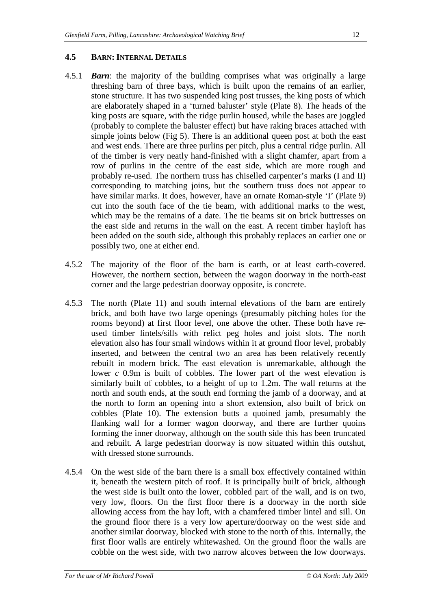#### **4.5 BARN: INTERNAL DETAILS**

- 4.5.1 *Barn*: the majority of the building comprises what was originally a large threshing barn of three bays, which is built upon the remains of an earlier, stone structure. It has two suspended king post trusses, the king posts of which are elaborately shaped in a 'turned baluster' style (Plate 8). The heads of the king posts are square, with the ridge purlin housed, while the bases are joggled (probably to complete the baluster effect) but have raking braces attached with simple joints below (Fig 5). There is an additional queen post at both the east and west ends. There are three purlins per pitch, plus a central ridge purlin. All of the timber is very neatly hand-finished with a slight chamfer, apart from a row of purlins in the centre of the east side, which are more rough and probably re-used. The northern truss has chiselled carpenter's marks (I and II) corresponding to matching joins, but the southern truss does not appear to have similar marks. It does, however, have an ornate Roman-style 'I' (Plate 9) cut into the south face of the tie beam, with additional marks to the west, which may be the remains of a date. The tie beams sit on brick buttresses on the east side and returns in the wall on the east. A recent timber hayloft has been added on the south side, although this probably replaces an earlier one or possibly two, one at either end.
- 4.5.2 The majority of the floor of the barn is earth, or at least earth-covered. However, the northern section, between the wagon doorway in the north-east corner and the large pedestrian doorway opposite, is concrete.
- 4.5.3 The north (Plate 11) and south internal elevations of the barn are entirely brick, and both have two large openings (presumably pitching holes for the rooms beyond) at first floor level, one above the other. These both have reused timber lintels/sills with relict peg holes and joist slots. The north elevation also has four small windows within it at ground floor level, probably inserted, and between the central two an area has been relatively recently rebuilt in modern brick. The east elevation is unremarkable, although the lower *c* 0.9m is built of cobbles. The lower part of the west elevation is similarly built of cobbles, to a height of up to 1.2m. The wall returns at the north and south ends, at the south end forming the jamb of a doorway, and at the north to form an opening into a short extension, also built of brick on cobbles (Plate 10). The extension butts a quoined jamb, presumably the flanking wall for a former wagon doorway, and there are further quoins forming the inner doorway, although on the south side this has been truncated and rebuilt. A large pedestrian doorway is now situated within this outshut, with dressed stone surrounds.
- 4.5.4 On the west side of the barn there is a small box effectively contained within it, beneath the western pitch of roof. It is principally built of brick, although the west side is built onto the lower, cobbled part of the wall, and is on two, very low, floors. On the first floor there is a doorway in the north side allowing access from the hay loft, with a chamfered timber lintel and sill. On the ground floor there is a very low aperture/doorway on the west side and another similar doorway, blocked with stone to the north of this. Internally, the first floor walls are entirely whitewashed. On the ground floor the walls are cobble on the west side, with two narrow alcoves between the low doorways.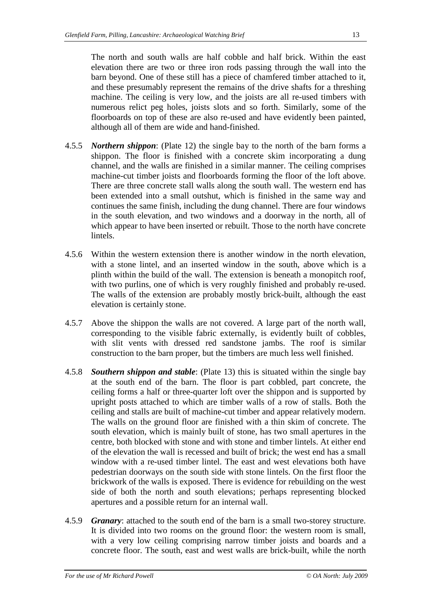The north and south walls are half cobble and half brick. Within the east elevation there are two or three iron rods passing through the wall into the barn beyond. One of these still has a piece of chamfered timber attached to it, and these presumably represent the remains of the drive shafts for a threshing machine. The ceiling is very low, and the joists are all re-used timbers with numerous relict peg holes, joists slots and so forth. Similarly, some of the floorboards on top of these are also re-used and have evidently been painted, although all of them are wide and hand-finished.

- 4.5.5 *Northern shippon*: (Plate 12) the single bay to the north of the barn forms a shippon. The floor is finished with a concrete skim incorporating a dung channel, and the walls are finished in a similar manner. The ceiling comprises machine-cut timber joists and floorboards forming the floor of the loft above. There are three concrete stall walls along the south wall. The western end has been extended into a small outshut, which is finished in the same way and continues the same finish, including the dung channel. There are four windows in the south elevation, and two windows and a doorway in the north, all of which appear to have been inserted or rebuilt. Those to the north have concrete lintels.
- 4.5.6 Within the western extension there is another window in the north elevation, with a stone lintel, and an inserted window in the south, above which is a plinth within the build of the wall. The extension is beneath a monopitch roof, with two purlins, one of which is very roughly finished and probably re-used. The walls of the extension are probably mostly brick-built, although the east elevation is certainly stone.
- 4.5.7 Above the shippon the walls are not covered. A large part of the north wall, corresponding to the visible fabric externally, is evidently built of cobbles, with slit vents with dressed red sandstone jambs. The roof is similar construction to the barn proper, but the timbers are much less well finished.
- 4.5.8 *Southern shippon and stable*: (Plate 13) this is situated within the single bay at the south end of the barn. The floor is part cobbled, part concrete, the ceiling forms a half or three-quarter loft over the shippon and is supported by upright posts attached to which are timber walls of a row of stalls. Both the ceiling and stalls are built of machine-cut timber and appear relatively modern. The walls on the ground floor are finished with a thin skim of concrete. The south elevation, which is mainly built of stone, has two small apertures in the centre, both blocked with stone and with stone and timber lintels. At either end of the elevation the wall is recessed and built of brick; the west end has a small window with a re-used timber lintel. The east and west elevations both have pedestrian doorways on the south side with stone lintels. On the first floor the brickwork of the walls is exposed. There is evidence for rebuilding on the west side of both the north and south elevations; perhaps representing blocked apertures and a possible return for an internal wall.
- 4.5.9 *Granary*: attached to the south end of the barn is a small two-storey structure. It is divided into two rooms on the ground floor: the western room is small, with a very low ceiling comprising narrow timber joists and boards and a concrete floor. The south, east and west walls are brick-built, while the north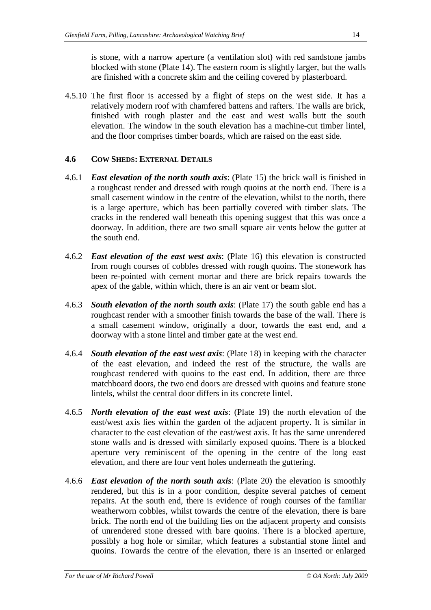is stone, with a narrow aperture (a ventilation slot) with red sandstone jambs blocked with stone (Plate 14). The eastern room is slightly larger, but the walls are finished with a concrete skim and the ceiling covered by plasterboard.

4.5.10 The first floor is accessed by a flight of steps on the west side. It has a relatively modern roof with chamfered battens and rafters. The walls are brick, finished with rough plaster and the east and west walls butt the south elevation. The window in the south elevation has a machine-cut timber lintel, and the floor comprises timber boards, which are raised on the east side.

#### **4.6 COW SHEDS: EXTERNAL DETAILS**

- 4.6.1 *East elevation of the north south axis*: (Plate 15) the brick wall is finished in a roughcast render and dressed with rough quoins at the north end. There is a small casement window in the centre of the elevation, whilst to the north, there is a large aperture, which has been partially covered with timber slats. The cracks in the rendered wall beneath this opening suggest that this was once a doorway. In addition, there are two small square air vents below the gutter at the south end.
- 4.6.2 *East elevation of the east west axis*: (Plate 16) this elevation is constructed from rough courses of cobbles dressed with rough quoins. The stonework has been re-pointed with cement mortar and there are brick repairs towards the apex of the gable, within which, there is an air vent or beam slot.
- 4.6.3 *South elevation of the north south axis*: (Plate 17) the south gable end has a roughcast render with a smoother finish towards the base of the wall. There is a small casement window, originally a door, towards the east end, and a doorway with a stone lintel and timber gate at the west end.
- 4.6.4 *South elevation of the east west axis*: (Plate 18) in keeping with the character of the east elevation, and indeed the rest of the structure, the walls are roughcast rendered with quoins to the east end. In addition, there are three matchboard doors, the two end doors are dressed with quoins and feature stone lintels, whilst the central door differs in its concrete lintel.
- 4.6.5 *North elevation of the east west axis*: (Plate 19) the north elevation of the east/west axis lies within the garden of the adjacent property. It is similar in character to the east elevation of the east/west axis. It has the same unrendered stone walls and is dressed with similarly exposed quoins. There is a blocked aperture very reminiscent of the opening in the centre of the long east elevation, and there are four vent holes underneath the guttering.
- 4.6.6 *East elevation of the north south axis*: (Plate 20) the elevation is smoothly rendered, but this is in a poor condition, despite several patches of cement repairs. At the south end, there is evidence of rough courses of the familiar weatherworn cobbles, whilst towards the centre of the elevation, there is bare brick. The north end of the building lies on the adjacent property and consists of unrendered stone dressed with bare quoins. There is a blocked aperture, possibly a hog hole or similar, which features a substantial stone lintel and quoins. Towards the centre of the elevation, there is an inserted or enlarged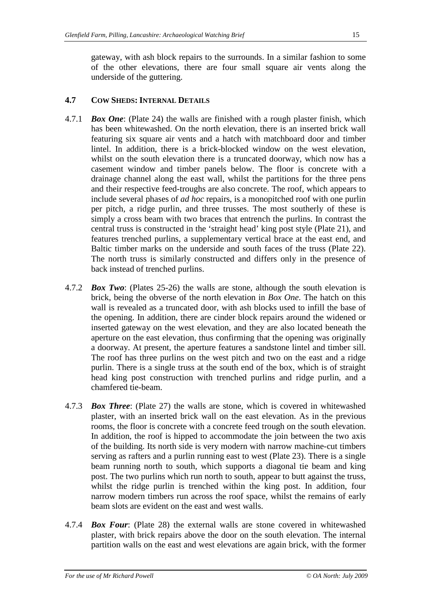gateway, with ash block repairs to the surrounds. In a similar fashion to some of the other elevations, there are four small square air vents along the underside of the guttering.

#### **4.7 COW SHEDS: INTERNAL DETAILS**

- 4.7.1 *Box One*: (Plate 24) the walls are finished with a rough plaster finish, which has been whitewashed. On the north elevation, there is an inserted brick wall featuring six square air vents and a hatch with matchboard door and timber lintel. In addition, there is a brick-blocked window on the west elevation, whilst on the south elevation there is a truncated doorway, which now has a casement window and timber panels below. The floor is concrete with a drainage channel along the east wall, whilst the partitions for the three pens and their respective feed-troughs are also concrete. The roof, which appears to include several phases of *ad hoc* repairs, is a monopitched roof with one purlin per pitch, a ridge purlin, and three trusses. The most southerly of these is simply a cross beam with two braces that entrench the purlins. In contrast the central truss is constructed in the 'straight head' king post style (Plate 21), and features trenched purlins, a supplementary vertical brace at the east end, and Baltic timber marks on the underside and south faces of the truss (Plate 22). The north truss is similarly constructed and differs only in the presence of back instead of trenched purlins.
- 4.7.2 *Box Two*: (Plates 25-26) the walls are stone, although the south elevation is brick, being the obverse of the north elevation in *Box One*. The hatch on this wall is revealed as a truncated door, with ash blocks used to infill the base of the opening. In addition, there are cinder block repairs around the widened or inserted gateway on the west elevation, and they are also located beneath the aperture on the east elevation, thus confirming that the opening was originally a doorway. At present, the aperture features a sandstone lintel and timber sill. The roof has three purlins on the west pitch and two on the east and a ridge purlin. There is a single truss at the south end of the box, which is of straight head king post construction with trenched purlins and ridge purlin, and a chamfered tie-beam.
- 4.7.3 *Box Three*: (Plate 27) the walls are stone, which is covered in whitewashed plaster, with an inserted brick wall on the east elevation. As in the previous rooms, the floor is concrete with a concrete feed trough on the south elevation. In addition, the roof is hipped to accommodate the join between the two axis of the building. Its north side is very modern with narrow machine-cut timbers serving as rafters and a purlin running east to west (Plate 23). There is a single beam running north to south, which supports a diagonal tie beam and king post. The two purlins which run north to south, appear to butt against the truss, whilst the ridge purlin is trenched within the king post. In addition, four narrow modern timbers run across the roof space, whilst the remains of early beam slots are evident on the east and west walls.
- 4.7.4 *Box Four*: (Plate 28) the external walls are stone covered in whitewashed plaster, with brick repairs above the door on the south elevation. The internal partition walls on the east and west elevations are again brick, with the former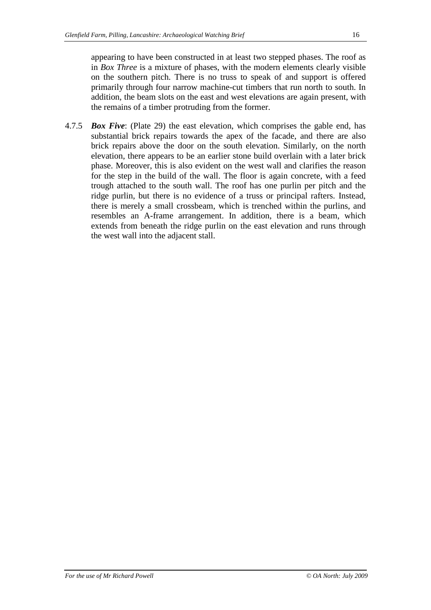appearing to have been constructed in at least two stepped phases. The roof as in *Box Three* is a mixture of phases, with the modern elements clearly visible on the southern pitch. There is no truss to speak of and support is offered primarily through four narrow machine-cut timbers that run north to south. In addition, the beam slots on the east and west elevations are again present, with the remains of a timber protruding from the former.

4.7.5 *Box Five*: (Plate 29) the east elevation, which comprises the gable end, has substantial brick repairs towards the apex of the facade, and there are also brick repairs above the door on the south elevation. Similarly, on the north elevation, there appears to be an earlier stone build overlain with a later brick phase. Moreover, this is also evident on the west wall and clarifies the reason for the step in the build of the wall. The floor is again concrete, with a feed trough attached to the south wall. The roof has one purlin per pitch and the ridge purlin, but there is no evidence of a truss or principal rafters. Instead, there is merely a small crossbeam, which is trenched within the purlins, and resembles an A-frame arrangement. In addition, there is a beam, which extends from beneath the ridge purlin on the east elevation and runs through the west wall into the adjacent stall.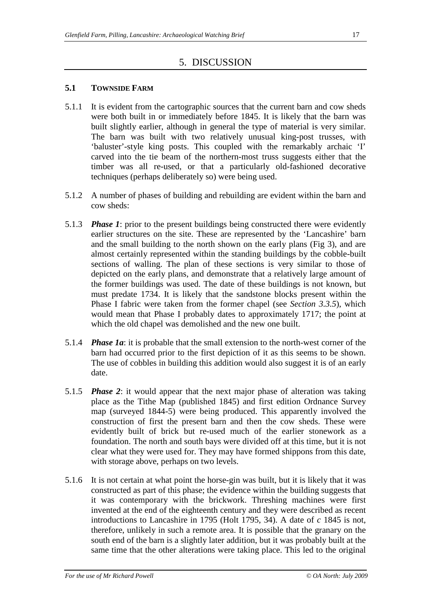# 5. DISCUSSION

#### **5.1 TOWNSIDE FARM**

- 5.1.1 It is evident from the cartographic sources that the current barn and cow sheds were both built in or immediately before 1845. It is likely that the barn was built slightly earlier, although in general the type of material is very similar. The barn was built with two relatively unusual king-post trusses, with 'baluster'-style king posts. This coupled with the remarkably archaic 'I' carved into the tie beam of the northern-most truss suggests either that the timber was all re-used, or that a particularly old-fashioned decorative techniques (perhaps deliberately so) were being used.
- 5.1.2 A number of phases of building and rebuilding are evident within the barn and cow sheds:
- 5.1.3 *Phase 1*: prior to the present buildings being constructed there were evidently earlier structures on the site. These are represented by the 'Lancashire' barn and the small building to the north shown on the early plans (Fig 3), and are almost certainly represented within the standing buildings by the cobble-built sections of walling. The plan of these sections is very similar to those of depicted on the early plans, and demonstrate that a relatively large amount of the former buildings was used. The date of these buildings is not known, but must predate 1734. It is likely that the sandstone blocks present within the Phase I fabric were taken from the former chapel (see *Section 3.3.5*), which would mean that Phase I probably dates to approximately 1717; the point at which the old chapel was demolished and the new one built.
- 5.1.4 *Phase 1a*: it is probable that the small extension to the north-west corner of the barn had occurred prior to the first depiction of it as this seems to be shown. The use of cobbles in building this addition would also suggest it is of an early date.
- 5.1.5 *Phase 2*: it would appear that the next major phase of alteration was taking place as the Tithe Map (published 1845) and first edition Ordnance Survey map (surveyed 1844-5) were being produced. This apparently involved the construction of first the present barn and then the cow sheds. These were evidently built of brick but re-used much of the earlier stonework as a foundation. The north and south bays were divided off at this time, but it is not clear what they were used for. They may have formed shippons from this date, with storage above, perhaps on two levels.
- 5.1.6 It is not certain at what point the horse-gin was built, but it is likely that it was constructed as part of this phase; the evidence within the building suggests that it was contemporary with the brickwork. Threshing machines were first invented at the end of the eighteenth century and they were described as recent introductions to Lancashire in 1795 (Holt 1795, 34). A date of *c* 1845 is not, therefore, unlikely in such a remote area. It is possible that the granary on the south end of the barn is a slightly later addition, but it was probably built at the same time that the other alterations were taking place. This led to the original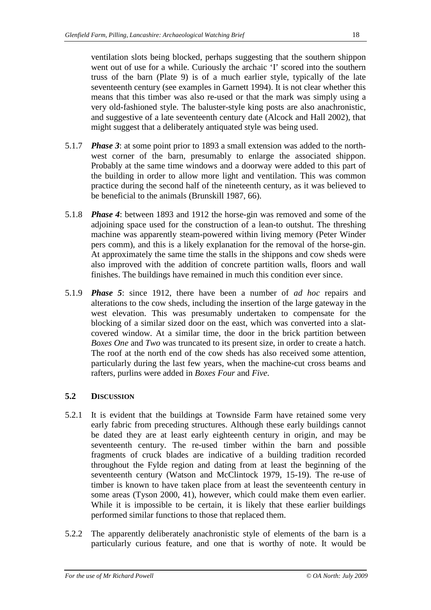ventilation slots being blocked, perhaps suggesting that the southern shippon went out of use for a while. Curiously the archaic 'I' scored into the southern truss of the barn (Plate 9) is of a much earlier style, typically of the late seventeenth century (see examples in Garnett 1994). It is not clear whether this means that this timber was also re-used or that the mark was simply using a very old-fashioned style. The baluster-style king posts are also anachronistic, and suggestive of a late seventeenth century date (Alcock and Hall 2002), that might suggest that a deliberately antiquated style was being used.

- 5.1.7 *Phase 3*: at some point prior to 1893 a small extension was added to the northwest corner of the barn, presumably to enlarge the associated shippon. Probably at the same time windows and a doorway were added to this part of the building in order to allow more light and ventilation. This was common practice during the second half of the nineteenth century, as it was believed to be beneficial to the animals (Brunskill 1987, 66).
- 5.1.8 *Phase 4*: between 1893 and 1912 the horse-gin was removed and some of the adjoining space used for the construction of a lean-to outshut. The threshing machine was apparently steam-powered within living memory (Peter Winder pers comm), and this is a likely explanation for the removal of the horse-gin. At approximately the same time the stalls in the shippons and cow sheds were also improved with the addition of concrete partition walls, floors and wall finishes. The buildings have remained in much this condition ever since.
- 5.1.9 *Phase 5*: since 1912, there have been a number of *ad hoc* repairs and alterations to the cow sheds, including the insertion of the large gateway in the west elevation. This was presumably undertaken to compensate for the blocking of a similar sized door on the east, which was converted into a slatcovered window. At a similar time, the door in the brick partition between *Boxes One* and *Two* was truncated to its present size, in order to create a hatch. The roof at the north end of the cow sheds has also received some attention, particularly during the last few years, when the machine-cut cross beams and rafters, purlins were added in *Boxes Four* and *Five.*

#### **5.2 DISCUSSION**

- 5.2.1 It is evident that the buildings at Townside Farm have retained some very early fabric from preceding structures. Although these early buildings cannot be dated they are at least early eighteenth century in origin, and may be seventeenth century. The re-used timber within the barn and possible fragments of cruck blades are indicative of a building tradition recorded throughout the Fylde region and dating from at least the beginning of the seventeenth century (Watson and McClintock 1979, 15-19). The re-use of timber is known to have taken place from at least the seventeenth century in some areas (Tyson 2000, 41), however, which could make them even earlier. While it is impossible to be certain, it is likely that these earlier buildings performed similar functions to those that replaced them.
- 5.2.2 The apparently deliberately anachronistic style of elements of the barn is a particularly curious feature, and one that is worthy of note. It would be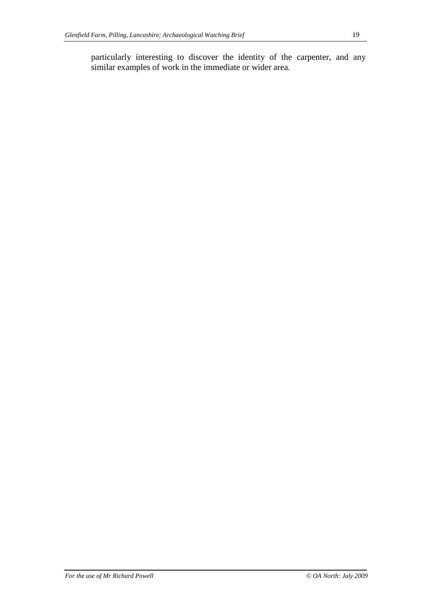particularly interesting to discover the identity of the carpenter, and any similar examples of work in the immediate or wider area.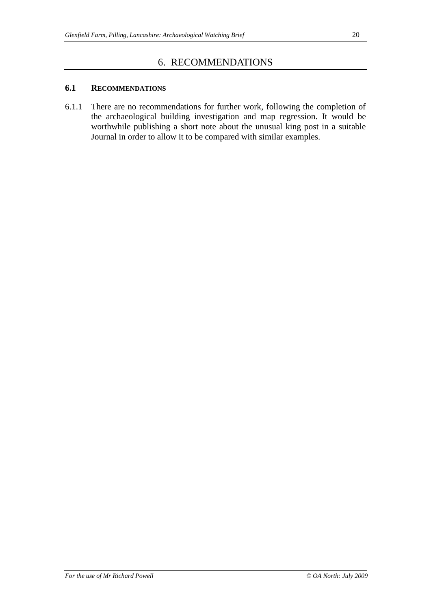#### **6.1 RECOMMENDATIONS**

6.1.1 There are no recommendations for further work, following the completion of the archaeological building investigation and map regression. It would be worthwhile publishing a short note about the unusual king post in a suitable Journal in order to allow it to be compared with similar examples.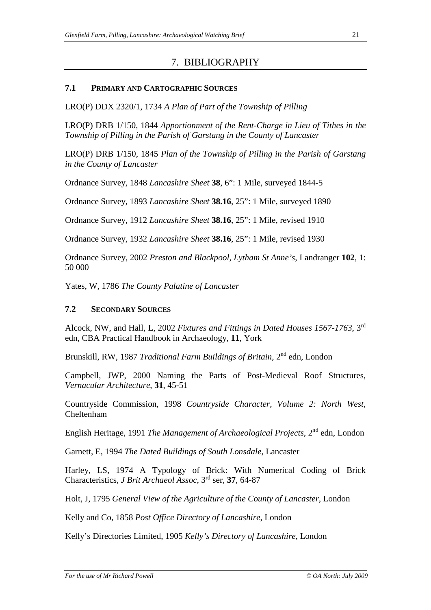# 7. BIBLIOGRAPHY

#### **7.1 PRIMARY AND CARTOGRAPHIC SOURCES**

LRO(P) DDX 2320/1, 1734 *A Plan of Part of the Township of Pilling* 

LRO(P) DRB 1/150, 1844 *Apportionment of the Rent-Charge in Lieu of Tithes in the Township of Pilling in the Parish of Garstang in the County of Lancaster* 

LRO(P) DRB 1/150, 1845 *Plan of the Township of Pilling in the Parish of Garstang in the County of Lancaster*

Ordnance Survey, 1848 *Lancashire Sheet* **38**, 6": 1 Mile, surveyed 1844-5

Ordnance Survey, 1893 *Lancashire Sheet* **38.16**, 25": 1 Mile, surveyed 1890

Ordnance Survey, 1912 *Lancashire Sheet* **38.16**, 25": 1 Mile, revised 1910

Ordnance Survey, 1932 *Lancashire Sheet* **38.16**, 25": 1 Mile, revised 1930

Ordnance Survey, 2002 *Preston and Blackpool, Lytham St Anne's*, Landranger **102**, 1: 50 000

Yates, W, 1786 *The County Palatine of Lancaster* 

#### **7.2 SECONDARY SOURCES**

Alcock, NW, and Hall, L, 2002 *Fixtures and Fittings in Dated Houses 1567-1763*, 3rd edn, CBA Practical Handbook in Archaeology, **11**, York

Brunskill, RW, 1987 *Traditional Farm Buildings of Britain*, 2nd edn, London

Campbell, JWP, 2000 Naming the Parts of Post-Medieval Roof Structures, *Vernacular Architecture*, **31**, 45-51

Countryside Commission, 1998 *Countryside Character, Volume 2: North West*, Cheltenham

English Heritage, 1991 *The Management of Archaeological Projects*, 2nd edn, London

Garnett, E, 1994 *The Dated Buildings of South Lonsdale*, Lancaster

Harley, LS, 1974 A Typology of Brick: With Numerical Coding of Brick Characteristics, *J Brit Archaeol Assoc*, 3rd ser, **37**, 64-87

Holt, J, 1795 *General View of the Agriculture of the County of Lancaster*, London

Kelly and Co, 1858 *Post Office Directory of Lancashire*, London

Kelly's Directories Limited, 1905 *Kelly's Directory of Lancashire*, London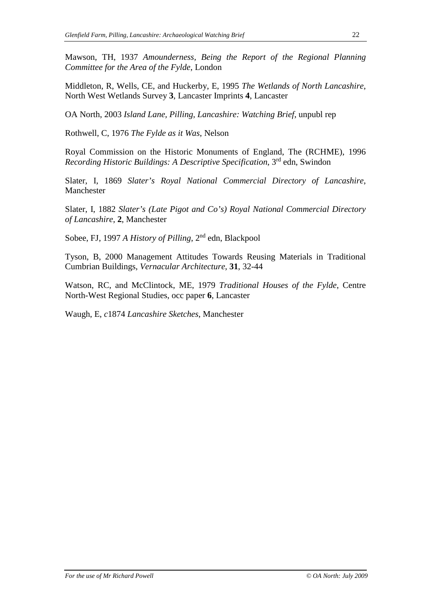Mawson, TH, 1937 *Amounderness, Being the Report of the Regional Planning Committee for the Area of the Fylde*, London

Middleton, R, Wells, CE, and Huckerby, E, 1995 *The Wetlands of North Lancashire*, North West Wetlands Survey **3**, Lancaster Imprints **4**, Lancaster

OA North, 2003 *Island Lane, Pilling, Lancashire: Watching Brief*, unpubl rep

Rothwell, C, 1976 *The Fylde as it Was*, Nelson

Royal Commission on the Historic Monuments of England, The (RCHME), 1996 *Recording Historic Buildings: A Descriptive Specification*, 3rd edn, Swindon

Slater, I, 1869 *Slater's Royal National Commercial Directory of Lancashire*, Manchester

Slater, I, 1882 *Slater's (Late Pigot and Co's) Royal National Commercial Directory of Lancashire*, **2**, Manchester

Sobee, FJ, 1997 *A History of Pilling*, 2nd edn, Blackpool

Tyson, B, 2000 Management Attitudes Towards Reusing Materials in Traditional Cumbrian Buildings, *Vernacular Architecture*, **31**, 32-44

Watson, RC, and McClintock, ME, 1979 *Traditional Houses of the Fylde*, Centre North-West Regional Studies, occ paper **6**, Lancaster

Waugh, E, *c*1874 *Lancashire Sketches*, Manchester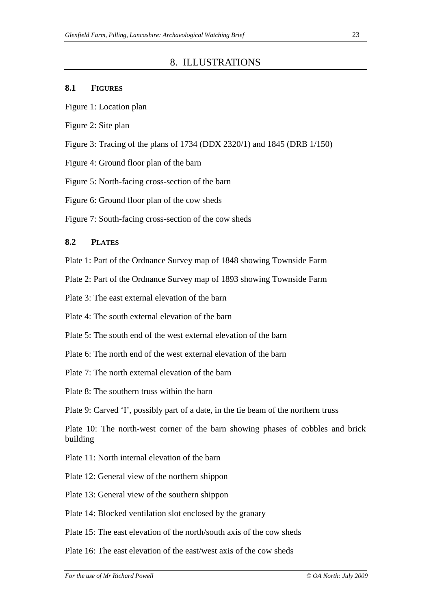### 8. ILLUSTRATIONS

#### **8.1 FIGURES**

- Figure 1: Location plan
- Figure 2: Site plan
- Figure 3: Tracing of the plans of 1734 (DDX 2320/1) and 1845 (DRB 1/150)
- Figure 4: Ground floor plan of the barn
- Figure 5: North-facing cross-section of the barn
- Figure 6: Ground floor plan of the cow sheds

Figure 7: South-facing cross-section of the cow sheds

#### **8.2 PLATES**

Plate 1: Part of the Ordnance Survey map of 1848 showing Townside Farm

Plate 2: Part of the Ordnance Survey map of 1893 showing Townside Farm

Plate 3: The east external elevation of the barn

Plate 4: The south external elevation of the barn

Plate 5: The south end of the west external elevation of the barn

Plate 6: The north end of the west external elevation of the barn

Plate 7: The north external elevation of the barn

Plate 8: The southern truss within the barn

Plate 9: Carved 'I', possibly part of a date, in the tie beam of the northern truss

Plate 10: The north-west corner of the barn showing phases of cobbles and brick building

Plate 11: North internal elevation of the barn

Plate 12: General view of the northern shippon

Plate 13: General view of the southern shippon

Plate 14: Blocked ventilation slot enclosed by the granary

Plate 15: The east elevation of the north/south axis of the cow sheds

Plate 16: The east elevation of the east/west axis of the cow sheds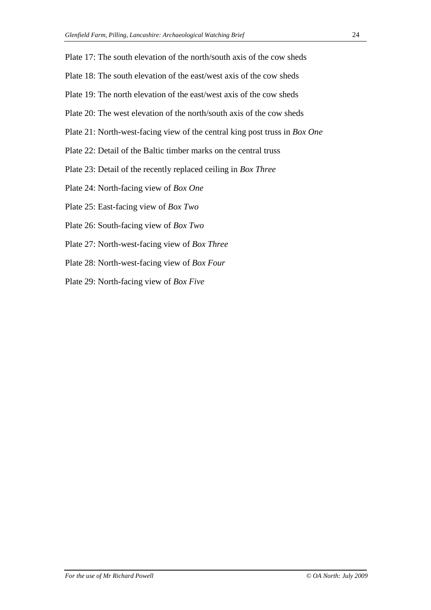- Plate 17: The south elevation of the north/south axis of the cow sheds
- Plate 18: The south elevation of the east/west axis of the cow sheds
- Plate 19: The north elevation of the east/west axis of the cow sheds
- Plate 20: The west elevation of the north/south axis of the cow sheds
- Plate 21: North-west-facing view of the central king post truss in *Box One*
- Plate 22: Detail of the Baltic timber marks on the central truss
- Plate 23: Detail of the recently replaced ceiling in *Box Three*
- Plate 24: North-facing view of *Box One*
- Plate 25: East-facing view of *Box Two*
- Plate 26: South-facing view of *Box Two*
- Plate 27: North-west-facing view of *Box Three*
- Plate 28: North-west-facing view of *Box Four*
- Plate 29: North-facing view of *Box Five*